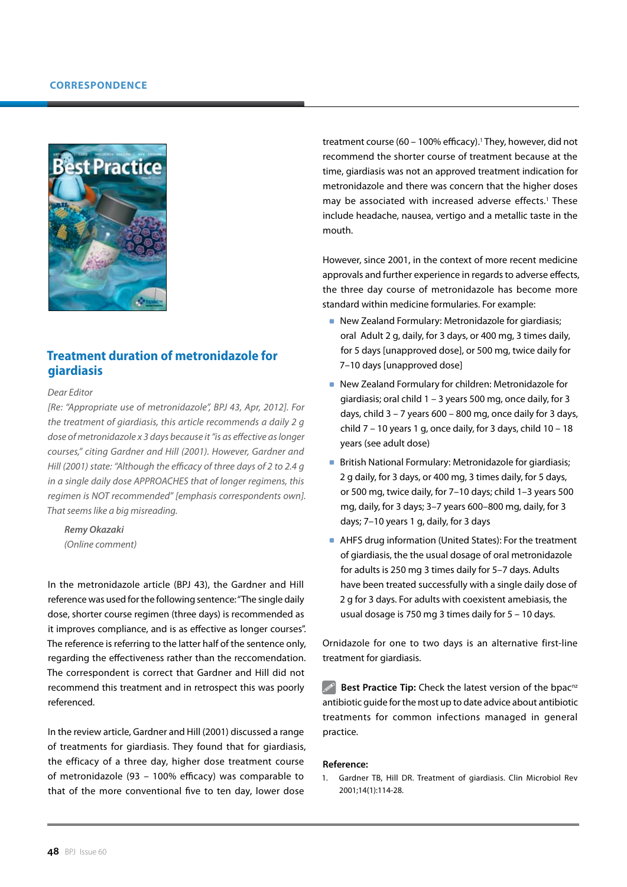

# **Treatment duration of metronidazole for giardiasis**

#### *Dear Editor*

*[Re: "Appropriate use of metronidazole", BPJ 43, Apr, 2012]. For the treatment of giardiasis, this article recommends a daily 2 g dose of metronidazole x 3 days because it "is as effective as longer courses," citing Gardner and Hill (2001). However, Gardner and Hill (2001) state: "Although the efficacy of three days of 2 to 2.4 g in a single daily dose APPROACHES that of longer regimens, this regimen is NOT recommended" [emphasis correspondents own]. That seems like a big misreading.*

*Remy Okazaki (Online comment)*

In the metronidazole article (BPJ 43), the Gardner and Hill reference was used for the following sentence: "The single daily dose, shorter course regimen (three days) is recommended as it improves compliance, and is as effective as longer courses". The reference is referring to the latter half of the sentence only, regarding the effectiveness rather than the reccomendation. The correspondent is correct that Gardner and Hill did not recommend this treatment and in retrospect this was poorly referenced.

In the review article, Gardner and Hill (2001) discussed a range of treatments for giardiasis. They found that for giardiasis, the efficacy of a three day, higher dose treatment course of metronidazole (93 – 100% efficacy) was comparable to that of the more conventional five to ten day, lower dose

treatment course (60 - 100% efficacy).<sup>1</sup> They, however, did not recommend the shorter course of treatment because at the time, giardiasis was not an approved treatment indication for metronidazole and there was concern that the higher doses may be associated with increased adverse effects.<sup>1</sup> These include headache, nausea, vertigo and a metallic taste in the mouth.

However, since 2001, in the context of more recent medicine approvals and further experience in regards to adverse effects, the three day course of metronidazole has become more standard within medicine formularies. For example:

- New Zealand Formulary: Metronidazole for giardiasis; oral Adult 2 g, daily, for 3 days, or 400 mg, 3 times daily, for 5 days [unapproved dose], or 500 mg, twice daily for 7–10 days [unapproved dose]
- New Zealand Formulary for children: Metronidazole for giardiasis; oral child 1 – 3 years 500 mg, once daily, for 3 days, child  $3 - 7$  years 600 – 800 mg, once daily for 3 days, child  $7 - 10$  years 1 g, once daily, for 3 days, child  $10 - 18$ years (see adult dose)
- **British National Formulary: Metronidazole for giardiasis;** 2 g daily, for 3 days, or 400 mg, 3 times daily, for 5 days, or 500 mg, twice daily, for 7–10 days; child 1–3 years 500 mg, daily, for 3 days; 3–7 years 600–800 mg, daily, for 3 days; 7–10 years 1 g, daily, for 3 days
- AHFS drug information (United States): For the treatment of giardiasis, the the usual dosage of oral metronidazole for adults is 250 mg 3 times daily for 5–7 days. Adults have been treated successfully with a single daily dose of 2 g for 3 days. For adults with coexistent amebiasis, the usual dosage is 750 mg 3 times daily for 5 – 10 days.

Ornidazole for one to two days is an alternative first-line treatment for giardiasis.

 $\mathscr{P}$ **Best Practice Tip:** Check the latest version of the bpac<sup>nz</sup> antibiotic guide for the most up to date advice about antibiotic treatments for common infections managed in general practice.

### **Reference:**

1. Gardner TB, Hill DR. Treatment of giardiasis. Clin Microbiol Rev 2001;14(1):114-28.